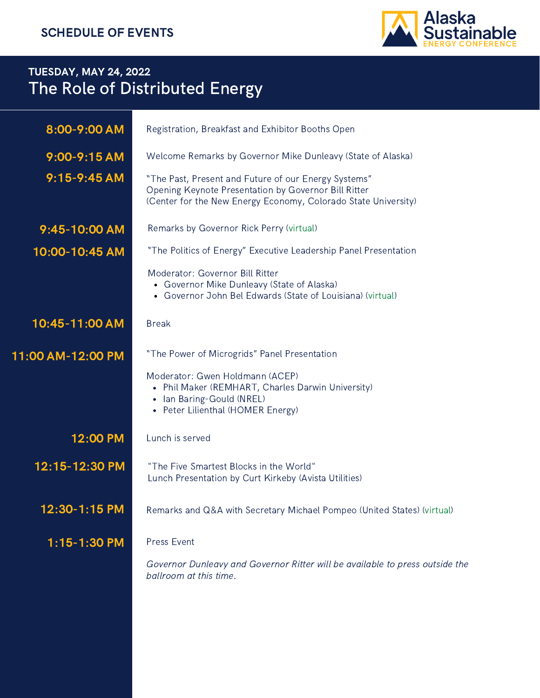

## TUESDAY, MAY 24, 2022 The Role of Distributed Energy

| 8:00-9:00 AM      | Registration, Breakfast and Exhibitor Booths Open                                                                                                                              |  |  |
|-------------------|--------------------------------------------------------------------------------------------------------------------------------------------------------------------------------|--|--|
| 9:00-9:15 AM      | Welcome Remarks by Governor Mike Dunleavy (State of Alaska)                                                                                                                    |  |  |
| $9:15 - 9:45$ AM  | "The Past, Present and Future of our Energy Systems"<br>Opening Keynote Presentation by Governor Bill Ritter<br>(Center for the New Energy Economy, Colorado State University) |  |  |
| 9:45-10:00 AM     | Remarks by Governor Rick Perry (virtual)                                                                                                                                       |  |  |
| 10:00-10:45 AM    | "The Politics of Energy" Executive Leadership Panel Presentation                                                                                                               |  |  |
|                   | Moderator: Governor Bill Ritter<br>• Governor Mike Dunleavy (State of Alaska)<br>• Governor John Bel Edwards (State of Louisiana) (virtual)                                    |  |  |
| 10:45-11:00 AM    | <b>Break</b>                                                                                                                                                                   |  |  |
| 11:00 AM-12:00 PM | "The Power of Microgrids" Panel Presentation                                                                                                                                   |  |  |
|                   | Moderator: Gwen Holdmann (ACEP)<br>• Phil Maker (REMHART, Charles Darwin University)<br>• Ian Baring-Gould (NREL)<br>• Peter Lilienthal (HOMER Energy)                         |  |  |
| 12:00 PM          | Lunch is served                                                                                                                                                                |  |  |
| 12:15-12:30 PM    | "The Five Smartest Blocks in the World"<br>Lunch Presentation by Curt Kirkeby (Avista Utilities)                                                                               |  |  |
| 12:30-1:15 PM     | Remarks and Q&A with Secretary Michael Pompeo (United States) (virtual)                                                                                                        |  |  |
| 1:15-1:30 PM      | Press Event                                                                                                                                                                    |  |  |
|                   | Governor Dunleavy and Governor Ritter will be available to press outside the<br>ballroom at this time.                                                                         |  |  |
|                   |                                                                                                                                                                                |  |  |
|                   |                                                                                                                                                                                |  |  |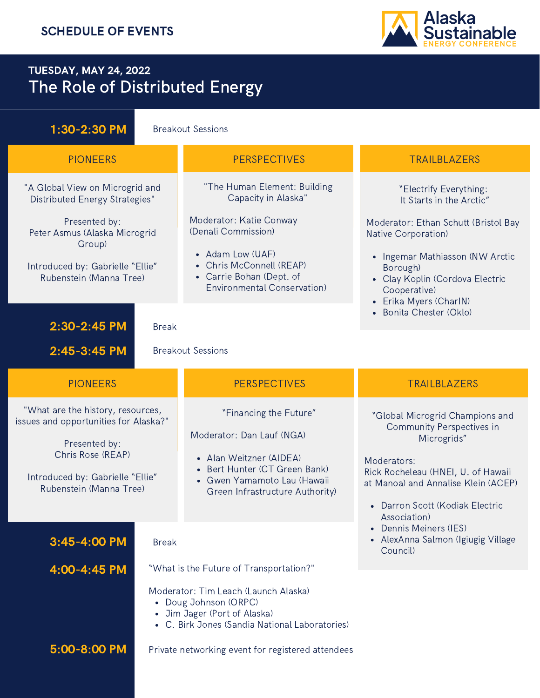### TUESDAY, MAY 24, 2022 The Role of Distributed Energy

2:45-3:45 PM Breakout Sessions PIONEERS PERSPECTIVES PERSPECTIVES TRAILBLAZERS "What are the history, resources, issues and opportunities for Alaska?" Presented by: Chris Rose (REAP) Introduced by: Gabrielle "Ellie" Rubenstein (Manna Tree) • Darron Scott (Kodiak Electric Association) Dennis Meiners (IES) • AlexAnna Salmon (Igiugig Village Council) "Global Microgrid Champions and Community Perspectives in Microgrids" Moderators: Rick Rocheleau (HNEI, U. of Hawaii at Manoa) and Annalise Klein (ACEP) **5:00-8:00 PM** Private networking event for registered attendees Doug Johnson (ORPC) Jim Jager (Port of Alaska) C. Birk Jones (Sandia National Laboratories) "What is the Future of Transportation?" Moderator: Tim Leach (Launch Alaska) 4:00-4:45 PM PIONEERS PERSPECTIVES PERSPECTIVES TRAILBLAZERS "A Global View on Microgrid and Distributed Energy Strategies" Presented by: Peter Asmus (Alaska Microgrid Group) Introduced by: Gabrielle "Ellie" Rubenstein (Manna Tree) • Ingemar Mathiasson (NW Arctic Borough) Clay Koplin (Cordova Electric Cooperative) Erika Myers (CharIN) Bonita Chester (Oklo) "Electrify Everything: It Starts in the Arctic" Moderator: Ethan Schutt (Bristol Bay Native Corporation) • Adam Low (UAF) Chris McConnell (REAP) Carrie Bohan (Dept. of Environmental Conservation) "The Human Element: Building Capacity in Alaska" Moderator: Katie Conway (Denali Commission) 1:30-2:30 PM Breakout Sessions • Alan Weitzner (AIDEA) • Bert Hunter (CT Green Bank) Gwen [Yamamoto](https://www.linkedin.com/in/gwen-yamamoto-lau-1644ab12/) Lau (Hawaii Green Infrastructure Authority) "Financing the Future" Moderator: Dan Lauf (NGA) 2:30-2:45 PM Break **3:45-4:00 PM Break** 

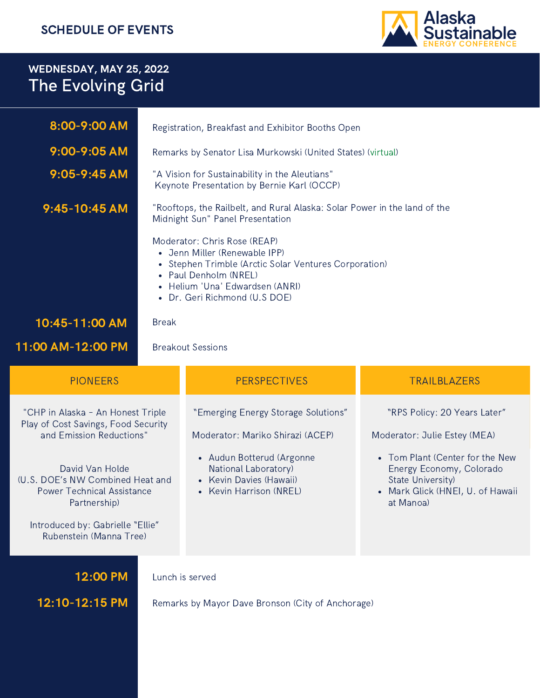

## WEDNESDAY, MAY 25, 2022 The Evolving Grid

| 8:00-9:00 AM                                                                                                                                                                                                     | Registration, Breakfast and Exhibitor Booths Open                                                                                                                                                                   |                                                                                                                                                                                    |                                                                                                                                                                                                   |  |
|------------------------------------------------------------------------------------------------------------------------------------------------------------------------------------------------------------------|---------------------------------------------------------------------------------------------------------------------------------------------------------------------------------------------------------------------|------------------------------------------------------------------------------------------------------------------------------------------------------------------------------------|---------------------------------------------------------------------------------------------------------------------------------------------------------------------------------------------------|--|
| 9:00-9:05 AM                                                                                                                                                                                                     | Remarks by Senator Lisa Murkowski (United States) (virtual)                                                                                                                                                         |                                                                                                                                                                                    |                                                                                                                                                                                                   |  |
| $9:05 - 9:45$ AM                                                                                                                                                                                                 | "A Vision for Sustainability in the Aleutians"<br>Keynote Presentation by Bernie Karl (OCCP)                                                                                                                        |                                                                                                                                                                                    |                                                                                                                                                                                                   |  |
| 9:45-10:45 AM                                                                                                                                                                                                    | "Rooftops, the Railbelt, and Rural Alaska: Solar Power in the land of the<br>Midnight Sun" Panel Presentation                                                                                                       |                                                                                                                                                                                    |                                                                                                                                                                                                   |  |
|                                                                                                                                                                                                                  | Moderator: Chris Rose (REAP)<br>• Jenn Miller (Renewable IPP)<br>• Stephen Trimble (Arctic Solar Ventures Corporation)<br>• Paul Denholm (NREL)<br>• Helium 'Una' Edwardsen (ANRI)<br>• Dr. Geri Richmond (U.S DOE) |                                                                                                                                                                                    |                                                                                                                                                                                                   |  |
| 10:45-11:00 AM                                                                                                                                                                                                   | <b>Break</b>                                                                                                                                                                                                        |                                                                                                                                                                                    |                                                                                                                                                                                                   |  |
| 11:00 AM-12:00 PM                                                                                                                                                                                                |                                                                                                                                                                                                                     | <b>Breakout Sessions</b>                                                                                                                                                           |                                                                                                                                                                                                   |  |
| <b>PIONEERS</b>                                                                                                                                                                                                  |                                                                                                                                                                                                                     | <b>PERSPECTIVES</b>                                                                                                                                                                | TRAILBLAZERS                                                                                                                                                                                      |  |
| "CHP in Alaska - An Honest Triple<br>Play of Cost Savings, Food Security<br>and Emission Reductions"<br>David Van Holde<br>(U.S. DOE's NW Combined Heat and<br><b>Power Technical Assistance</b><br>Partnership) |                                                                                                                                                                                                                     | "Emerging Energy Storage Solutions"<br>Moderator: Mariko Shirazi (ACEP)<br>• Audun Botterud (Argonne<br>National Laboratory)<br>• Kevin Davies (Hawaii)<br>• Kevin Harrison (NREL) | "RPS Policy: 20 Years Later"<br>Moderator: Julie Estey (MEA)<br>• Tom Plant (Center for the New<br>Energy Economy, Colorado<br>State University)<br>• Mark Glick (HNEI, U. of Hawaii<br>at Manoa) |  |
| Introduced by: Gabrielle "Ellie"<br>Rubenstein (Manna Tree)                                                                                                                                                      |                                                                                                                                                                                                                     |                                                                                                                                                                                    |                                                                                                                                                                                                   |  |
|                                                                                                                                                                                                                  |                                                                                                                                                                                                                     |                                                                                                                                                                                    |                                                                                                                                                                                                   |  |
| 12:00 PM                                                                                                                                                                                                         |                                                                                                                                                                                                                     | Lunch is served                                                                                                                                                                    |                                                                                                                                                                                                   |  |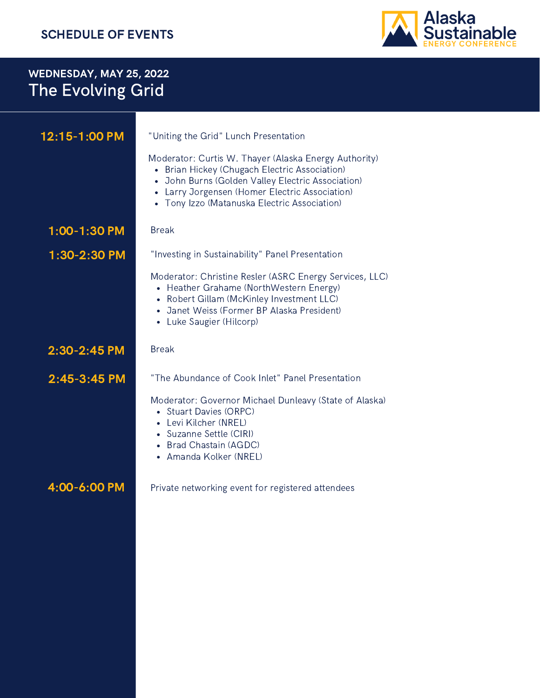#### SCHEDULE OF EVENTS



# WEDNESDAY, MAY 25, 2022 The Evolving Grid

| 12:15-1:00 PM | "Uniting the Grid" Lunch Presentation                                                                                                                                                                                                                         |  |  |  |
|---------------|---------------------------------------------------------------------------------------------------------------------------------------------------------------------------------------------------------------------------------------------------------------|--|--|--|
|               | Moderator: Curtis W. Thayer (Alaska Energy Authority)<br>• Brian Hickey (Chugach Electric Association)<br>• John Burns (Golden Valley Electric Association)<br>• Larry Jorgensen (Homer Electric Association)<br>• Tony Izzo (Matanuska Electric Association) |  |  |  |
| 1:00-1:30 PM  | <b>Break</b>                                                                                                                                                                                                                                                  |  |  |  |
| 1:30-2:30 PM  | "Investing in Sustainability" Panel Presentation                                                                                                                                                                                                              |  |  |  |
|               | Moderator: Christine Resler (ASRC Energy Services, LLC)<br>• Heather Grahame (NorthWestern Energy)<br>• Robert Gillam (McKinley Investment LLC)<br>• Janet Weiss (Former BP Alaska President)<br>• Luke Saugier (Hilcorp)                                     |  |  |  |
| 2:30-2:45 PM  | <b>Break</b>                                                                                                                                                                                                                                                  |  |  |  |
| 2:45-3:45 PM  | "The Abundance of Cook Inlet" Panel Presentation                                                                                                                                                                                                              |  |  |  |
|               | Moderator: Governor Michael Dunleavy (State of Alaska)<br>• Stuart Davies (ORPC)<br>• Levi Kilcher (NREL)<br>• Suzanne Settle (CIRI)<br>• Brad Chastain (AGDC)<br>• Amanda Kolker (NREL)                                                                      |  |  |  |
| 4:00-6:00 PM  | Private networking event for registered attendees                                                                                                                                                                                                             |  |  |  |
|               |                                                                                                                                                                                                                                                               |  |  |  |
|               |                                                                                                                                                                                                                                                               |  |  |  |
|               |                                                                                                                                                                                                                                                               |  |  |  |
|               |                                                                                                                                                                                                                                                               |  |  |  |
|               |                                                                                                                                                                                                                                                               |  |  |  |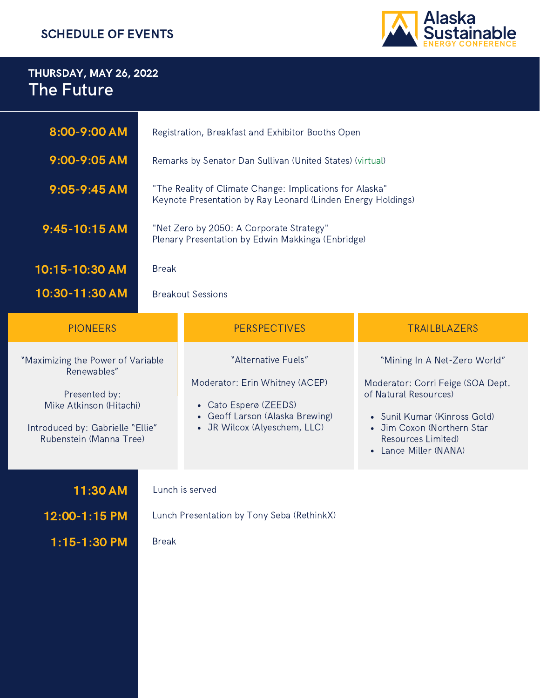#### SCHEDULE OF EVENTS



## THURSDAY, MAY 26, 2022 The Future

| 8:00-9:00 AM                                                                                                                                                | Registration, Breakfast and Exhibitor Booths Open                                                                        |                                                                                                                                                   |                                                                                                                                                                                                       |  |  |
|-------------------------------------------------------------------------------------------------------------------------------------------------------------|--------------------------------------------------------------------------------------------------------------------------|---------------------------------------------------------------------------------------------------------------------------------------------------|-------------------------------------------------------------------------------------------------------------------------------------------------------------------------------------------------------|--|--|
| 9:00-9:05 AM                                                                                                                                                | Remarks by Senator Dan Sullivan (United States) (virtual)                                                                |                                                                                                                                                   |                                                                                                                                                                                                       |  |  |
| 9:05-9:45 AM                                                                                                                                                | "The Reality of Climate Change: Implications for Alaska"<br>Keynote Presentation by Ray Leonard (Linden Energy Holdings) |                                                                                                                                                   |                                                                                                                                                                                                       |  |  |
| $9:45-10:15$ AM                                                                                                                                             | "Net Zero by 2050: A Corporate Strategy"<br>Plenary Presentation by Edwin Makkinga (Enbridge)                            |                                                                                                                                                   |                                                                                                                                                                                                       |  |  |
| 10:15-10:30 AM                                                                                                                                              | <b>Break</b>                                                                                                             |                                                                                                                                                   |                                                                                                                                                                                                       |  |  |
| 10:30-11:30 AM                                                                                                                                              | <b>Breakout Sessions</b>                                                                                                 |                                                                                                                                                   |                                                                                                                                                                                                       |  |  |
| <b>PIONEERS</b>                                                                                                                                             |                                                                                                                          | <b>PERSPECTIVES</b>                                                                                                                               | <b>TRAILBLAZERS</b>                                                                                                                                                                                   |  |  |
| "Maximizing the Power of Variable<br>Renewables"<br>Presented by:<br>Mike Atkinson (Hitachi)<br>Introduced by: Gabrielle "Ellie"<br>Rubenstein (Manna Tree) |                                                                                                                          | "Alternative Fuels"<br>Moderator: Erin Whitney (ACEP)<br>• Cato Esperø (ZEEDS)<br>• Geoff Larson (Alaska Brewing)<br>• JR Wilcox (Alyeschem, LLC) | "Mining In A Net-Zero World"<br>Moderator: Corri Feige (SOA Dept.<br>of Natural Resources)<br>• Sunil Kumar (Kinross Gold)<br>• Jim Coxon (Northern Star<br>Resources Limited)<br>Lance Miller (NANA) |  |  |
| 11:30 AM<br>12:00-1:15 PM<br>1:15-1:30 PM                                                                                                                   | <b>Break</b>                                                                                                             | Lunch is served<br>Lunch Presentation by Tony Seba (RethinkX)                                                                                     |                                                                                                                                                                                                       |  |  |